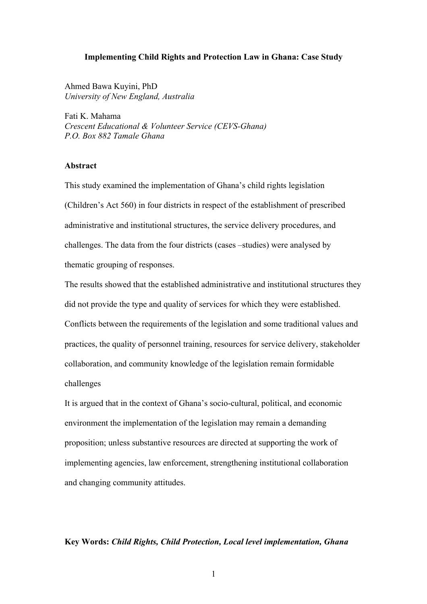### **Implementing Child Rights and Protection Law in Ghana: Case Study**

Ahmed Bawa Kuyini, PhD *University of New England, Australia*

Fati K. Mahama *Crescent Educational & Volunteer Service (CEVS-Ghana) P.O. Box 882 Tamale Ghana*

## **Abstract**

This study examined the implementation of Ghana's child rights legislation (Children's Act 560) in four districts in respect of the establishment of prescribed administrative and institutional structures, the service delivery procedures, and challenges. The data from the four districts (cases –studies) were analysed by thematic grouping of responses.

The results showed that the established administrative and institutional structures they did not provide the type and quality of services for which they were established. Conflicts between the requirements of the legislation and some traditional values and practices, the quality of personnel training, resources for service delivery, stakeholder collaboration, and community knowledge of the legislation remain formidable challenges

It is argued that in the context of Ghana's socio-cultural, political, and economic environment the implementation of the legislation may remain a demanding proposition; unless substantive resources are directed at supporting the work of implementing agencies, law enforcement, strengthening institutional collaboration and changing community attitudes.

## **Key Words:** *Child Rights, Child Protection, Local level implementation, Ghana*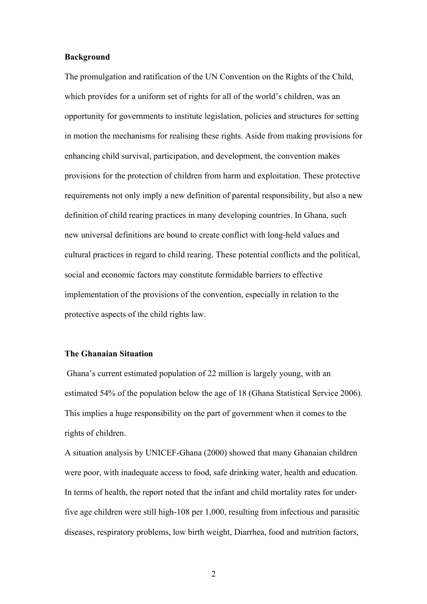### **Background**

The promulgation and ratification of the UN Convention on the Rights of the Child, which provides for a uniform set of rights for all of the world's children, was an opportunity for governments to institute legislation, policies and structures for setting in motion the mechanisms for realising these rights. Aside from making provisions for enhancing child survival, participation, and development, the convention makes provisions for the protection of children from harm and exploitation. These protective requirements not only imply a new definition of parental responsibility, but also a new definition of child rearing practices in many developing countries. In Ghana, such new universal definitions are bound to create conflict with long-held values and cultural practices in regard to child rearing. These potential conflicts and the political, social and economic factors may constitute formidable barriers to effective implementation of the provisions of the convention, especially in relation to the protective aspects of the child rights law.

### **The Ghanaian Situation**

Ghana's current estimated population of 22 million is largely young, with an estimated 54% of the population below the age of 18 (Ghana Statistical Service 2006). This implies a huge responsibility on the part of government when it comes to the rights of children.

A situation analysis by UNICEF-Ghana (2000) showed that many Ghanaian children were poor, with inadequate access to food, safe drinking water, health and education. In terms of health, the report noted that the infant and child mortality rates for underfive age children were still high-108 per 1,000, resulting from infectious and parasitic diseases, respiratory problems, low birth weight, Diarrhea, food and nutrition factors,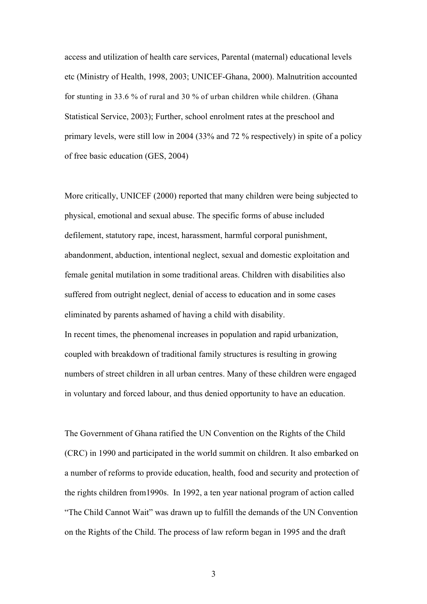access and utilization of health care services, Parental (maternal) educational levels etc (Ministry of Health, 1998, 2003; UNICEF-Ghana, 2000). Malnutrition accounted for stunting in 33.6 % of rural and 30 % of urban children while children. (Ghana Statistical Service, 2003); Further, school enrolment rates at the preschool and primary levels, were still low in 2004 (33% and 72 % respectively) in spite of a policy of free basic education (GES, 2004)

More critically, UNICEF (2000) reported that many children were being subjected to physical, emotional and sexual abuse. The specific forms of abuse included defilement, statutory rape, incest, harassment, harmful corporal punishment, abandonment, abduction, intentional neglect, sexual and domestic exploitation and female genital mutilation in some traditional areas. Children with disabilities also suffered from outright neglect, denial of access to education and in some cases eliminated by parents ashamed of having a child with disability. In recent times, the phenomenal increases in population and rapid urbanization, coupled with breakdown of traditional family structures is resulting in growing numbers of street children in all urban centres. Many of these children were engaged in voluntary and forced labour, and thus denied opportunity to have an education.

The Government of Ghana ratified the UN Convention on the Rights of the Child (CRC) in 1990 and participated in the world summit on children. It also embarked on a number of reforms to provide education, health, food and security and protection of the rights children from1990s.In 1992, a ten year national program of action called "The Child Cannot Wait" was drawn up to fulfill the demands of the UN Convention on the Rights of the Child. The process of law reform began in 1995 and the draft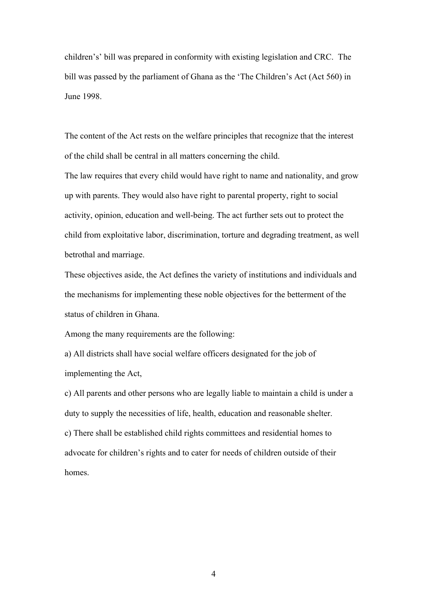children's' bill was prepared in conformity with existing legislation and CRC. The bill was passed by the parliament of Ghana as the 'The Children's Act (Act 560) in June 1998.

The content of the Act rests on the welfare principles that recognize that the interest of the child shall be central in all matters concerning the child.

The law requires that every child would have right to name and nationality, and grow up with parents. They would also have right to parental property, right to social activity, opinion, education and well-being. The act further sets out to protect the child from exploitative labor, discrimination, torture and degrading treatment, as well betrothal and marriage.

These objectives aside, the Act defines the variety of institutions and individuals and the mechanisms for implementing these noble objectives for the betterment of the status of children in Ghana.

Among the many requirements are the following:

a) All districts shall have social welfare officers designated for the job of implementing the Act,

c) All parents and other persons who are legally liable to maintain a child is under a duty to supply the necessities of life, health, education and reasonable shelter. c) There shall be established child rights committees and residential homes to

advocate for children's rights and to cater for needs of children outside of their homes.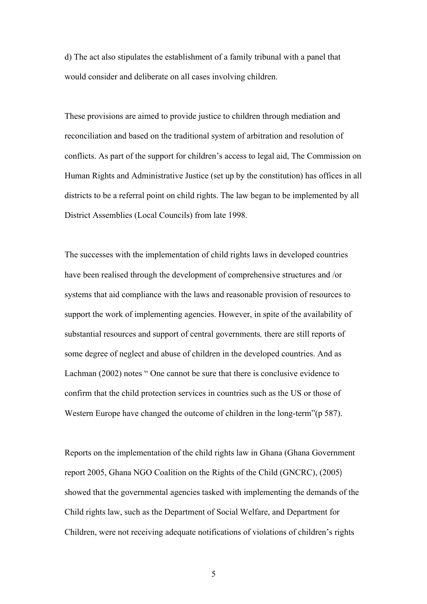d) The act also stipulates the establishment of a family tribunal with a panel that would consider and deliberate on all cases involving children.

These provisions are aimed to provide justice to children through mediation and reconciliation and based on the traditional system of arbitration and resolution of conflicts. As part of the support for children's access to legal aid, The Commission on Human Rights and Administrative Justice (set up by the constitution) has offices in all districts to be a referral point on child rights. The law began to be implemented by all District Assemblies (Local Councils) from late 1998.

The successes with the implementation of child rights laws in developed countries have been realised through the development of comprehensive structures and /or systems that aid compliance with the laws and reasonable provision of resources to support the work of implementing agencies. However, in spite of the availability of substantial resources and support of central governments*,* there are still reports of some degree of neglect and abuse of children in the developed countries. And as Lachman (2002) notes " One cannot be sure that there is conclusive evidence to confirm that the child protection services in countries such as the US or those of Western Europe have changed the outcome of children in the long-term" (p 587).

Reports on the implementation of the child rights law in Ghana (Ghana Government report 2005, Ghana NGO Coalition on the Rights of the Child (GNCRC), (2005) showed that the governmental agencies tasked with implementing the demands of the Child rights law, such as the Department of Social Welfare, and Department for Children, were not receiving adequate notifications of violations of children's rights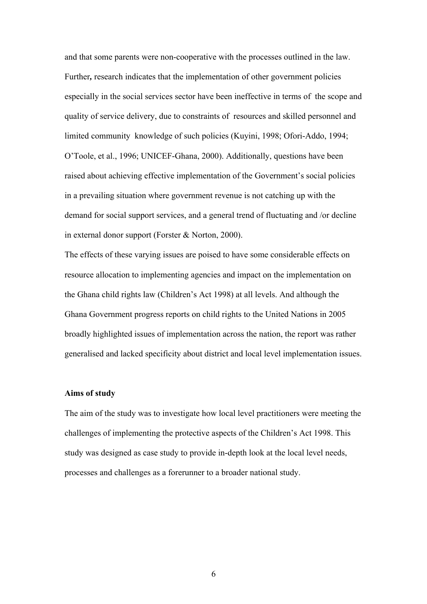and that some parents were non-cooperative with the processes outlined in the law. Further*,* research indicates that the implementation of other government policies especially in the social services sector have been ineffective in terms of the scope and quality of service delivery, due to constraints of resources and skilled personnel and limited community knowledge of such policies (Kuyini, 1998; Ofori-Addo, 1994; O'Toole, et al., 1996; UNICEF-Ghana, 2000). Additionally, questions have been raised about achieving effective implementation of the Government's social policies in a prevailing situation where government revenue is not catching up with the demand for social support services, and a general trend of fluctuating and /or decline in external donor support (Forster & Norton, 2000).

The effects of these varying issues are poised to have some considerable effects on resource allocation to implementing agencies and impact on the implementation on the Ghana child rights law (Children's Act 1998) at all levels. And although the Ghana Government progress reports on child rights to the United Nations in 2005 broadly highlighted issues of implementation across the nation, the report was rather generalised and lacked specificity about district and local level implementation issues.

## **Aims of study**

The aim of the study was to investigate how local level practitioners were meeting the challenges of implementing the protective aspects of the Children's Act 1998. This study was designed as case study to provide in-depth look at the local level needs, processes and challenges as a forerunner to a broader national study.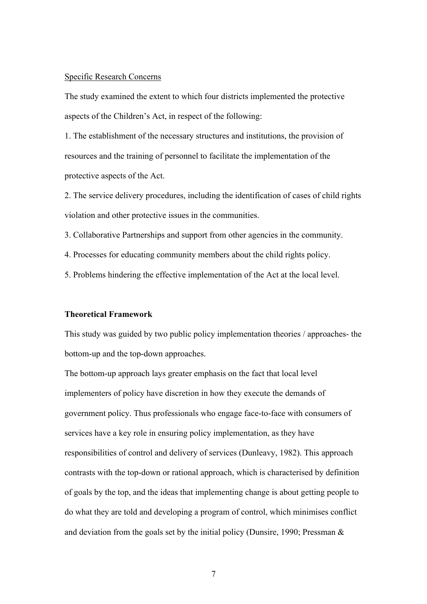#### Specific Research Concerns

The study examined the extent to which four districts implemented the protective aspects of the Children's Act, in respect of the following:

1. The establishment of the necessary structures and institutions, the provision of resources and the training of personnel to facilitate the implementation of the protective aspects of the Act.

2. The service delivery procedures, including the identification of cases of child rights violation and other protective issues in the communities.

3. Collaborative Partnerships and support from other agencies in the community.

4. Processes for educating community members about the child rights policy.

5. Problems hindering the effective implementation of the Act at the local level.

### **Theoretical Framework**

This study was guided by two public policy implementation theories / approaches- the bottom-up and the top-down approaches.

The bottom-up approach lays greater emphasis on the fact that local level implementers of policy have discretion in how they execute the demands of government policy. Thus professionals who engage face-to-face with consumers of services have a key role in ensuring policy implementation, as they have responsibilities of control and delivery of services (Dunleavy, 1982). This approach contrasts with the top-down or rational approach, which is characterised by definition of goals by the top, and the ideas that implementing change is about getting people to do what they are told and developing a program of control, which minimises conflict and deviation from the goals set by the initial policy (Dunsire, 1990; Pressman  $\&$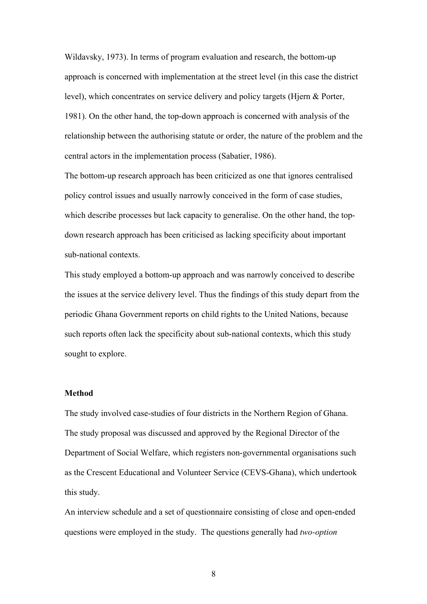Wildavsky, 1973). In terms of program evaluation and research, the bottom-up approach is concerned with implementation at the street level (in this case the district level), which concentrates on service delivery and policy targets (Hjern & Porter, 1981). On the other hand, the top-down approach is concerned with analysis of the relationship between the authorising statute or order, the nature of the problem and the central actors in the implementation process (Sabatier, 1986).

The bottom-up research approach has been criticized as one that ignores centralised policy control issues and usually narrowly conceived in the form of case studies, which describe processes but lack capacity to generalise. On the other hand, the topdown research approach has been criticised as lacking specificity about important sub-national contexts.

This study employed a bottom-up approach and was narrowly conceived to describe the issues at the service delivery level. Thus the findings of this study depart from the periodic Ghana Government reports on child rights to the United Nations, because such reports often lack the specificity about sub-national contexts, which this study sought to explore.

### **Method**

The study involved case-studies of four districts in the Northern Region of Ghana. The study proposal was discussed and approved by the Regional Director of the Department of Social Welfare, which registers non-governmental organisations such as the Crescent Educational and Volunteer Service (CEVS-Ghana), which undertook this study.

An interview schedule and a set of questionnaire consisting of close and open-ended questions were employed in the study. The questions generally had *two-option*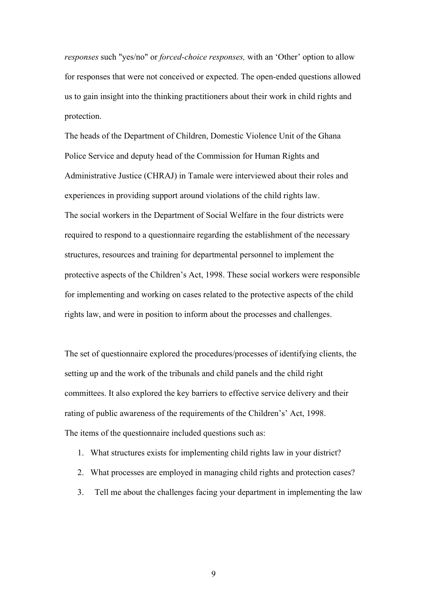*responses* such "yes/no" or *forced-choice responses,* with an 'Other' option to allow for responses that were not conceived or expected. The open-ended questions allowed us to gain insight into the thinking practitioners about their work in child rights and protection.

The heads of the Department of Children, Domestic Violence Unit of the Ghana Police Service and deputy head of the Commission for Human Rights and Administrative Justice (CHRAJ) in Tamale were interviewed about their roles and experiences in providing support around violations of the child rights law. The social workers in the Department of Social Welfare in the four districts were required to respond to a questionnaire regarding the establishment of the necessary structures, resources and training for departmental personnel to implement the protective aspects of the Children's Act, 1998. These social workers were responsible for implementing and working on cases related to the protective aspects of the child rights law, and were in position to inform about the processes and challenges.

The set of questionnaire explored the procedures/processes of identifying clients, the setting up and the work of the tribunals and child panels and the child right committees. It also explored the key barriers to effective service delivery and their rating of public awareness of the requirements of the Children's' Act, 1998. The items of the questionnaire included questions such as:

- 1. What structures exists for implementing child rights law in your district?
- 2. What processes are employed in managing child rights and protection cases?
- 3. Tell me about the challenges facing your department in implementing the law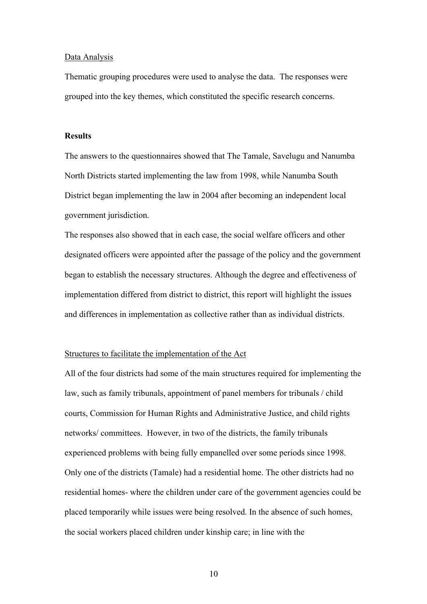#### Data Analysis

Thematic grouping procedures were used to analyse the data. The responses were grouped into the key themes, which constituted the specific research concerns.

#### **Results**

The answers to the questionnaires showed that The Tamale, Savelugu and Nanumba North Districts started implementing the law from 1998, while Nanumba South District began implementing the law in 2004 after becoming an independent local government jurisdiction.

The responses also showed that in each case, the social welfare officers and other designated officers were appointed after the passage of the policy and the government began to establish the necessary structures. Although the degree and effectiveness of implementation differed from district to district, this report will highlight the issues and differences in implementation as collective rather than as individual districts.

#### Structures to facilitate the implementation of the Act

All of the four districts had some of the main structures required for implementing the law, such as family tribunals, appointment of panel members for tribunals / child courts, Commission for Human Rights and Administrative Justice, and child rights networks/ committees. However, in two of the districts, the family tribunals experienced problems with being fully empanelled over some periods since 1998. Only one of the districts (Tamale) had a residential home. The other districts had no residential homes- where the children under care of the government agencies could be placed temporarily while issues were being resolved. In the absence of such homes, the social workers placed children under kinship care; in line with the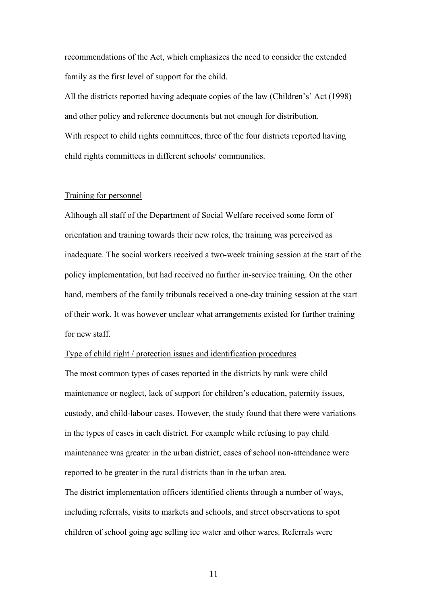recommendations of the Act, which emphasizes the need to consider the extended family as the first level of support for the child.

All the districts reported having adequate copies of the law (Children's' Act (1998) and other policy and reference documents but not enough for distribution. With respect to child rights committees, three of the four districts reported having child rights committees in different schools/ communities.

## Training for personnel

Although all staff of the Department of Social Welfare received some form of orientation and training towards their new roles, the training was perceived as inadequate. The social workers received a two-week training session at the start of the policy implementation, but had received no further in-service training. On the other hand, members of the family tribunals received a one-day training session at the start of their work. It was however unclear what arrangements existed for further training for new staff.

### Type of child right / protection issues and identification procedures

The most common types of cases reported in the districts by rank were child maintenance or neglect, lack of support for children's education, paternity issues, custody, and child-labour cases. However, the study found that there were variations in the types of cases in each district. For example while refusing to pay child maintenance was greater in the urban district, cases of school non-attendance were reported to be greater in the rural districts than in the urban area.

The district implementation officers identified clients through a number of ways, including referrals, visits to markets and schools, and street observations to spot children of school going age selling ice water and other wares. Referrals were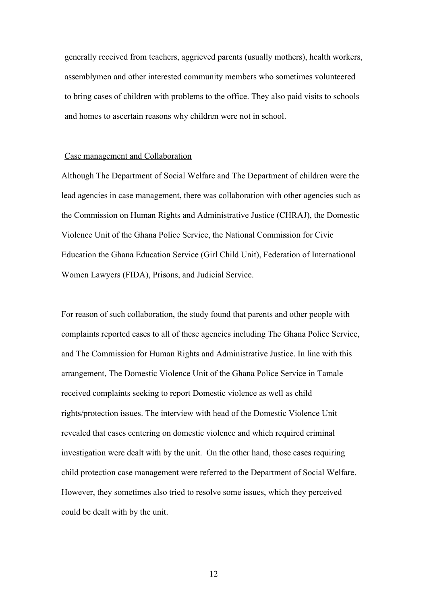generally received from teachers, aggrieved parents (usually mothers), health workers, assemblymen and other interested community members who sometimes volunteered to bring cases of children with problems to the office. They also paid visits to schools and homes to ascertain reasons why children were not in school.

#### Case management and Collaboration

Although The Department of Social Welfare and The Department of children were the lead agencies in case management, there was collaboration with other agencies such as the Commission on Human Rights and Administrative Justice (CHRAJ), the Domestic Violence Unit of the Ghana Police Service, the National Commission for Civic Education the Ghana Education Service (Girl Child Unit), Federation of International Women Lawyers (FIDA), Prisons, and Judicial Service.

For reason of such collaboration, the study found that parents and other people with complaints reported cases to all of these agencies including The Ghana Police Service, and The Commission for Human Rights and Administrative Justice. In line with this arrangement, The Domestic Violence Unit of the Ghana Police Service in Tamale received complaints seeking to report Domestic violence as well as child rights/protection issues. The interview with head of the Domestic Violence Unit revealed that cases centering on domestic violence and which required criminal investigation were dealt with by the unit. On the other hand, those cases requiring child protection case management were referred to the Department of Social Welfare. However, they sometimes also tried to resolve some issues, which they perceived could be dealt with by the unit.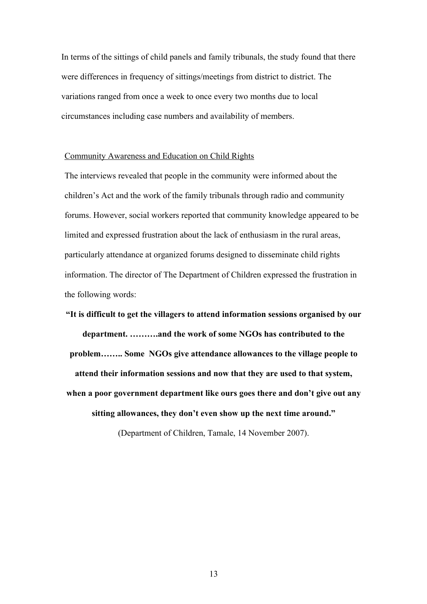In terms of the sittings of child panels and family tribunals, the study found that there were differences in frequency of sittings/meetings from district to district. The variations ranged from once a week to once every two months due to local circumstances including case numbers and availability of members.

#### Community Awareness and Education on Child Rights

The interviews revealed that people in the community were informed about the children's Act and the work of the family tribunals through radio and community forums. However, social workers reported that community knowledge appeared to be limited and expressed frustration about the lack of enthusiasm in the rural areas, particularly attendance at organized forums designed to disseminate child rights information. The director of The Department of Children expressed the frustration in the following words:

**"It is difficult to get the villagers to attend information sessions organised by our department. ……….and the work of some NGOs has contributed to the problem…….. Some NGOs give attendance allowances to the village people to attend their information sessions and now that they are used to that system, when a poor government department like ours goes there and don't give out any sitting allowances, they don't even show up the next time around."** 

(Department of Children, Tamale, 14 November 2007).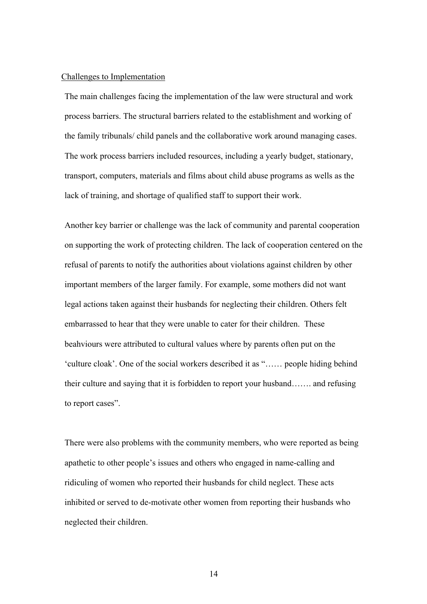#### Challenges to Implementation

The main challenges facing the implementation of the law were structural and work process barriers. The structural barriers related to the establishment and working of the family tribunals/ child panels and the collaborative work around managing cases. The work process barriers included resources, including a yearly budget, stationary, transport, computers, materials and films about child abuse programs as wells as the lack of training, and shortage of qualified staff to support their work.

Another key barrier or challenge was the lack of community and parental cooperation on supporting the work of protecting children. The lack of cooperation centered on the refusal of parents to notify the authorities about violations against children by other important members of the larger family. For example, some mothers did not want legal actions taken against their husbands for neglecting their children. Others felt embarrassed to hear that they were unable to cater for their children. These beahviours were attributed to cultural values where by parents often put on the 'culture cloak'. One of the social workers described it as "…… people hiding behind their culture and saying that it is forbidden to report your husband……. and refusing to report cases".

There were also problems with the community members, who were reported as being apathetic to other people's issues and others who engaged in name-calling and ridiculing of women who reported their husbands for child neglect. These acts inhibited or served to de-motivate other women from reporting their husbands who neglected their children.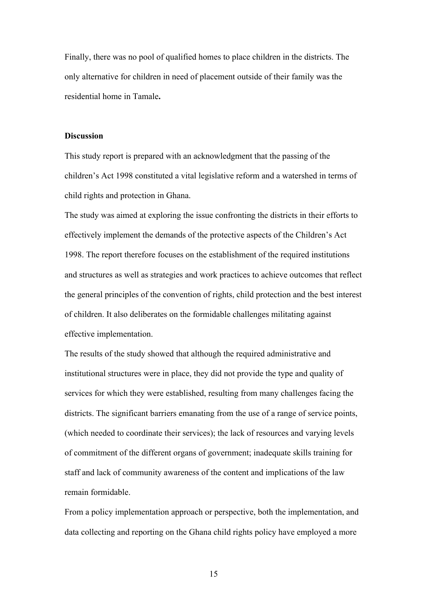Finally, there was no pool of qualified homes to place children in the districts. The only alternative for children in need of placement outside of their family was the residential home in Tamale**.** 

### **Discussion**

This study report is prepared with an acknowledgment that the passing of the children's Act 1998 constituted a vital legislative reform and a watershed in terms of child rights and protection in Ghana.

The study was aimed at exploring the issue confronting the districts in their efforts to effectively implement the demands of the protective aspects of the Children's Act 1998. The report therefore focuses on the establishment of the required institutions and structures as well as strategies and work practices to achieve outcomes that reflect the general principles of the convention of rights, child protection and the best interest of children. It also deliberates on the formidable challenges militating against effective implementation.

The results of the study showed that although the required administrative and institutional structures were in place, they did not provide the type and quality of services for which they were established, resulting from many challenges facing the districts. The significant barriers emanating from the use of a range of service points, (which needed to coordinate their services); the lack of resources and varying levels of commitment of the different organs of government; inadequate skills training for staff and lack of community awareness of the content and implications of the law remain formidable.

From a policy implementation approach or perspective, both the implementation, and data collecting and reporting on the Ghana child rights policy have employed a more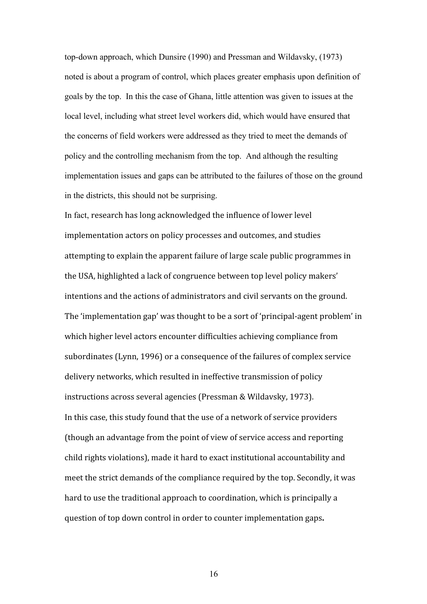top-down approach, which Dunsire (1990) and Pressman and Wildavsky, (1973) noted is about a program of control, which places greater emphasis upon definition of goals by the top. In this the case of Ghana, little attention was given to issues at the local level, including what street level workers did, which would have ensured that the concerns of field workers were addressed as they tried to meet the demands of policy and the controlling mechanism from the top. And although the resulting implementation issues and gaps can be attributed to the failures of those on the ground in the districts, this should not be surprising.

In fact, research has long acknowledged the influence of lower level implementation actors on policy processes and outcomes, and studies attempting to explain the apparent failure of large scale public programmes in the USA, highlighted a lack of congruence between top level policy makers' intentions and the actions of administrators and civil servants on the ground. The 'implementation gap' was thought to be a sort of 'principal‐agent problem' in which higher level actors encounter difficulties achieving compliance from subordinates (Lynn, 1996) or a consequence of the failures of complex service delivery networks, which resulted in ineffective transmission of policy instructions across several agencies (Pressman & Wildavsky, 1973). In this case, this study found that the use of a network of service providers (though an advantage from the point of view of service access and reporting child rights violations), made it hard to exact institutional accountability and meet the strict demands of the compliance required by the top. Secondly, it was hard to use the traditional approach to coordination, which is principally a question of top down control in order to counter implementation gaps**.**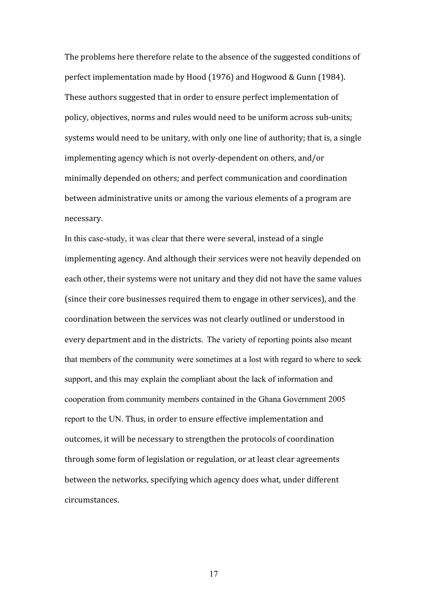The problems here therefore relate to the absence of the suggested conditions of perfect implementation made by Hood (1976) and Hogwood & Gunn (1984). These authors suggested that in order to ensure perfect implementation of policy, objectives, norms and rules would need to be uniform across sub‐units; systems would need to be unitary, with only one line of authority; that is, a single implementing agency which is not overly‐dependent on others, and/or minimally depended on others; and perfect communication and coordination between administrative units or among the various elements of a program are necessary.

In this case-study, it was clear that there were several, instead of a single implementing agency. And although their services were not heavily depended on each other, their systems were not unitary and they did not have the same values (since their core businesses required them to engage in other services), and the coordination between the services was not clearly outlined or understood in every department and in the districts. The variety of reporting points also meant that members of the community were sometimes at a lost with regard to where to seek support, and this may explain the compliant about the lack of information and cooperation from community members contained in the Ghana Government 2005 report to the UN. Thus, in order to ensure effective implementation and outcomes, it will be necessary to strengthen the protocols of coordination through some form of legislation or regulation, or at least clear agreements between the networks, specifying which agency does what, under different circumstances.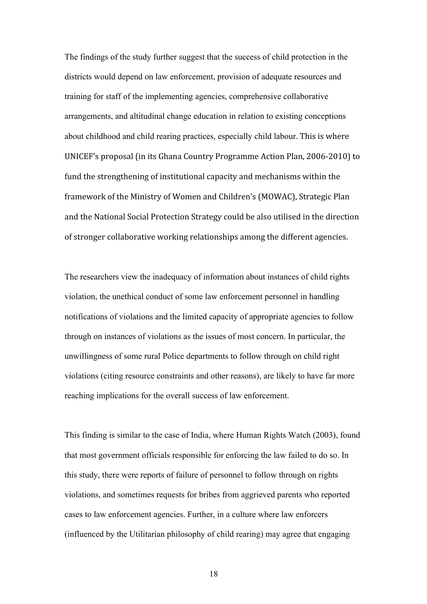The findings of the study further suggest that the success of child protection in the districts would depend on law enforcement, provision of adequate resources and training for staff of the implementing agencies, comprehensive collaborative arrangements, and altitudinal change education in relation to existing conceptions about childhood and child rearing practices, especially child labour. This is where UNICEF's proposal (in its Ghana Country Programme Action Plan, 2006‐2010) to fund the strengthening of institutional capacity and mechanisms within the framework of the Ministry of Women and Children's (MOWAC), Strategic Plan and the National Social Protection Strategy could be also utilised in the direction of stronger collaborative working relationships among the different agencies.

The researchers view the inadequacy of information about instances of child rights violation, the unethical conduct of some law enforcement personnel in handling notifications of violations and the limited capacity of appropriate agencies to follow through on instances of violations as the issues of most concern. In particular, the unwillingness of some rural Police departments to follow through on child right violations (citing resource constraints and other reasons), are likely to have far more reaching implications for the overall success of law enforcement.

This finding is similar to the case of India, where Human Rights Watch (2003), found that most government officials responsible for enforcing the law failed to do so. In this study, there were reports of failure of personnel to follow through on rights violations, and sometimes requests for bribes from aggrieved parents who reported cases to law enforcement agencies. Further, in a culture where law enforcers (influenced by the Utilitarian philosophy of child rearing) may agree that engaging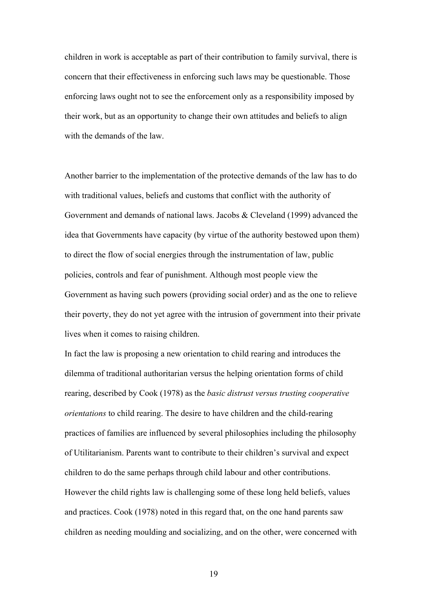children in work is acceptable as part of their contribution to family survival, there is concern that their effectiveness in enforcing such laws may be questionable. Those enforcing laws ought not to see the enforcement only as a responsibility imposed by their work, but as an opportunity to change their own attitudes and beliefs to align with the demands of the law.

Another barrier to the implementation of the protective demands of the law has to do with traditional values, beliefs and customs that conflict with the authority of Government and demands of national laws. Jacobs & Cleveland (1999) advanced the idea that Governments have capacity (by virtue of the authority bestowed upon them) to direct the flow of social energies through the instrumentation of law, public policies, controls and fear of punishment. Although most people view the Government as having such powers (providing social order) and as the one to relieve their poverty, they do not yet agree with the intrusion of government into their private lives when it comes to raising children.

In fact the law is proposing a new orientation to child rearing and introduces the dilemma of traditional authoritarian versus the helping orientation forms of child rearing, described by Cook (1978) as the *basic distrust versus trusting cooperative orientations* to child rearing. The desire to have children and the child-rearing practices of families are influenced by several philosophies including the philosophy of Utilitarianism. Parents want to contribute to their children's survival and expect children to do the same perhaps through child labour and other contributions. However the child rights law is challenging some of these long held beliefs, values and practices. Cook (1978) noted in this regard that, on the one hand parents saw children as needing moulding and socializing, and on the other, were concerned with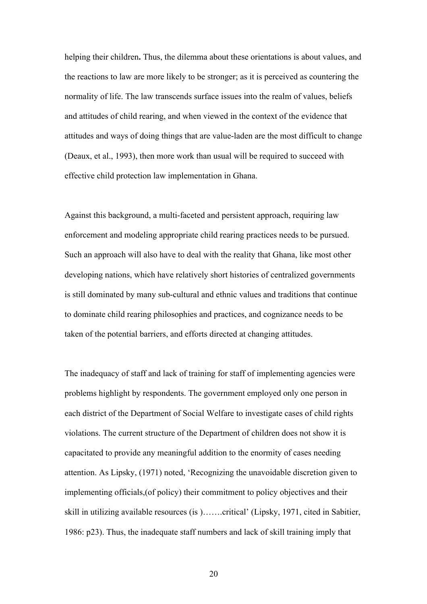helping their children**.** Thus, the dilemma about these orientations is about values, and the reactions to law are more likely to be stronger; as it is perceived as countering the normality of life. The law transcends surface issues into the realm of values, beliefs and attitudes of child rearing, and when viewed in the context of the evidence that attitudes and ways of doing things that are value-laden are the most difficult to change (Deaux, et al., 1993), then more work than usual will be required to succeed with effective child protection law implementation in Ghana.

Against this background, a multi-faceted and persistent approach, requiring law enforcement and modeling appropriate child rearing practices needs to be pursued. Such an approach will also have to deal with the reality that Ghana, like most other developing nations, which have relatively short histories of centralized governments is still dominated by many sub-cultural and ethnic values and traditions that continue to dominate child rearing philosophies and practices, and cognizance needs to be taken of the potential barriers, and efforts directed at changing attitudes.

The inadequacy of staff and lack of training for staff of implementing agencies were problems highlight by respondents. The government employed only one person in each district of the Department of Social Welfare to investigate cases of child rights violations. The current structure of the Department of children does not show it is capacitated to provide any meaningful addition to the enormity of cases needing attention. As Lipsky, (1971) noted, 'Recognizing the unavoidable discretion given to implementing officials,(of policy) their commitment to policy objectives and their skill in utilizing available resources (is )…….critical' (Lipsky, 1971, cited in Sabitier, 1986: p23). Thus, the inadequate staff numbers and lack of skill training imply that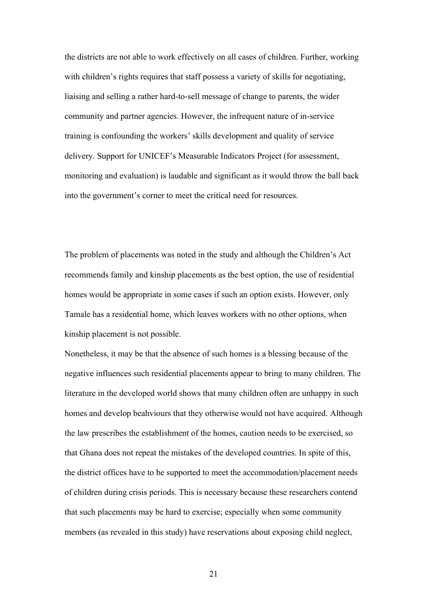the districts are not able to work effectively on all cases of children. Further, working with children's rights requires that staff possess a variety of skills for negotiating, liaising and selling a rather hard-to-sell message of change to parents, the wider community and partner agencies. However, the infrequent nature of in-service training is confounding the workers' skills development and quality of service delivery. Support for UNICEF's Measurable Indicators Project (for assessment, monitoring and evaluation) is laudable and significant as it would throw the ball back into the government's corner to meet the critical need for resources.

The problem of placements was noted in the study and although the Children's Act recommends family and kinship placements as the best option, the use of residential homes would be appropriate in some cases if such an option exists. However, only Tamale has a residential home, which leaves workers with no other options, when kinship placement is not possible.

Nonetheless, it may be that the absence of such homes is a blessing because of the negative influences such residential placements appear to bring to many children. The literature in the developed world shows that many children often are unhappy in such homes and develop beahviours that they otherwise would not have acquired. Although the law prescribes the establishment of the homes, caution needs to be exercised, so that Ghana does not repeat the mistakes of the developed countries. In spite of this, the district offices have to be supported to meet the accommodation/placement needs of children during crisis periods. This is necessary because these researchers contend that such placements may be hard to exercise; especially when some community members (as revealed in this study) have reservations about exposing child neglect,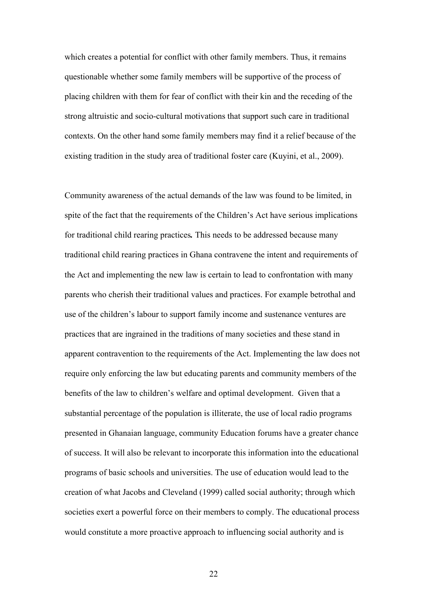which creates a potential for conflict with other family members. Thus, it remains questionable whether some family members will be supportive of the process of placing children with them for fear of conflict with their kin and the receding of the strong altruistic and socio-cultural motivations that support such care in traditional contexts. On the other hand some family members may find it a relief because of the existing tradition in the study area of traditional foster care (Kuyini, et al., 2009).

Community awareness of the actual demands of the law was found to be limited, in spite of the fact that the requirements of the Children's Act have serious implications for traditional child rearing practices*.* This needs to be addressed because many traditional child rearing practices in Ghana contravene the intent and requirements of the Act and implementing the new law is certain to lead to confrontation with many parents who cherish their traditional values and practices. For example betrothal and use of the children's labour to support family income and sustenance ventures are practices that are ingrained in the traditions of many societies and these stand in apparent contravention to the requirements of the Act. Implementing the law does not require only enforcing the law but educating parents and community members of the benefits of the law to children's welfare and optimal development. Given that a substantial percentage of the population is illiterate, the use of local radio programs presented in Ghanaian language, community Education forums have a greater chance of success. It will also be relevant to incorporate this information into the educational programs of basic schools and universities. The use of education would lead to the creation of what Jacobs and Cleveland (1999) called social authority; through which societies exert a powerful force on their members to comply. The educational process would constitute a more proactive approach to influencing social authority and is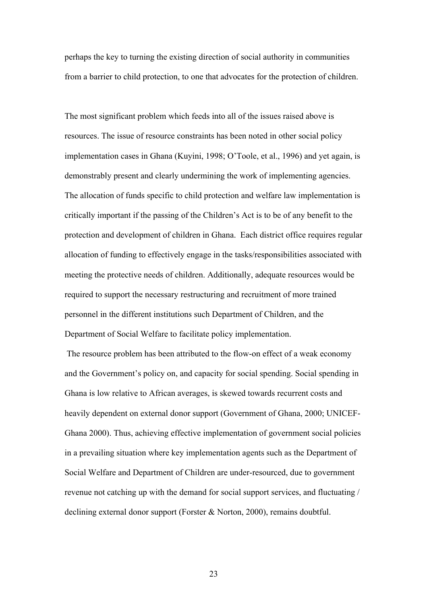perhaps the key to turning the existing direction of social authority in communities from a barrier to child protection, to one that advocates for the protection of children.

The most significant problem which feeds into all of the issues raised above is resources. The issue of resource constraints has been noted in other social policy implementation cases in Ghana (Kuyini, 1998; O'Toole, et al., 1996) and yet again, is demonstrably present and clearly undermining the work of implementing agencies. The allocation of funds specific to child protection and welfare law implementation is critically important if the passing of the Children's Act is to be of any benefit to the protection and development of children in Ghana. Each district office requires regular allocation of funding to effectively engage in the tasks/responsibilities associated with meeting the protective needs of children. Additionally, adequate resources would be required to support the necessary restructuring and recruitment of more trained personnel in the different institutions such Department of Children, and the Department of Social Welfare to facilitate policy implementation.

 The resource problem has been attributed to the flow-on effect of a weak economy and the Government's policy on, and capacity for social spending. Social spending in Ghana is low relative to African averages, is skewed towards recurrent costs and heavily dependent on external donor support (Government of Ghana, 2000; UNICEF-Ghana 2000). Thus, achieving effective implementation of government social policies in a prevailing situation where key implementation agents such as the Department of Social Welfare and Department of Children are under-resourced, due to government revenue not catching up with the demand for social support services, and fluctuating / declining external donor support (Forster & Norton, 2000), remains doubtful.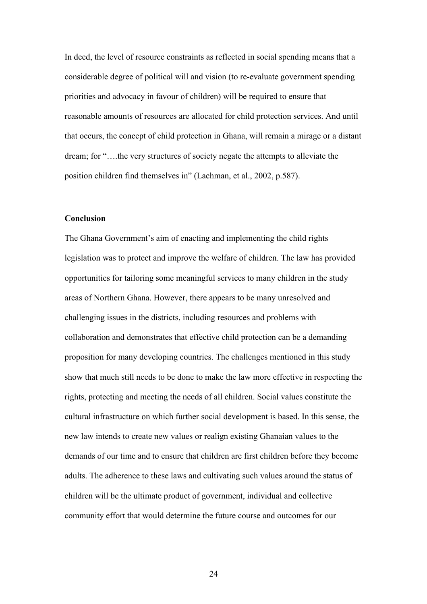In deed, the level of resource constraints as reflected in social spending means that a considerable degree of political will and vision (to re-evaluate government spending priorities and advocacy in favour of children) will be required to ensure that reasonable amounts of resources are allocated for child protection services. And until that occurs, the concept of child protection in Ghana, will remain a mirage or a distant dream; for "….the very structures of society negate the attempts to alleviate the position children find themselves in" (Lachman, et al., 2002, p.587).

# **Conclusion**

The Ghana Government's aim of enacting and implementing the child rights legislation was to protect and improve the welfare of children. The law has provided opportunities for tailoring some meaningful services to many children in the study areas of Northern Ghana. However, there appears to be many unresolved and challenging issues in the districts, including resources and problems with collaboration and demonstrates that effective child protection can be a demanding proposition for many developing countries. The challenges mentioned in this study show that much still needs to be done to make the law more effective in respecting the rights, protecting and meeting the needs of all children. Social values constitute the cultural infrastructure on which further social development is based. In this sense, the new law intends to create new values or realign existing Ghanaian values to the demands of our time and to ensure that children are first children before they become adults. The adherence to these laws and cultivating such values around the status of children will be the ultimate product of government, individual and collective community effort that would determine the future course and outcomes for our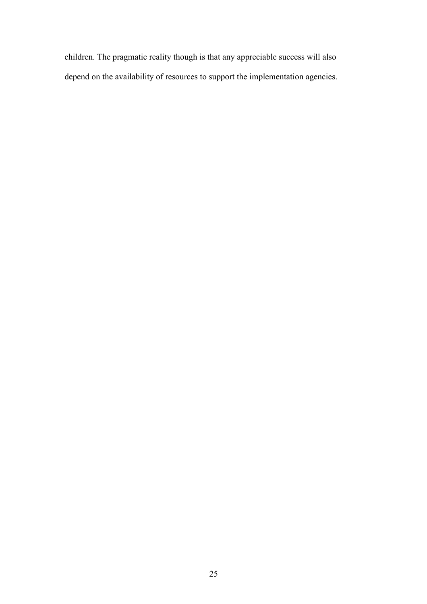children. The pragmatic reality though is that any appreciable success will also depend on the availability of resources to support the implementation agencies.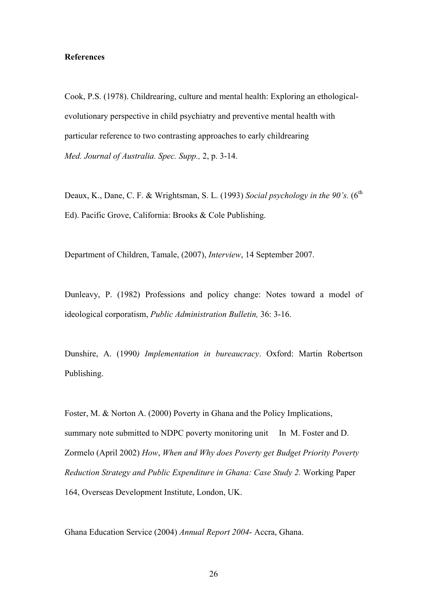## **References**

Cook, P.S. (1978). Childrearing, culture and mental health: Exploring an ethologicalevolutionary perspective in child psychiatry and preventive mental health with particular reference to two contrasting approaches to early childrearing *Med. Journal of Australia. Spec. Supp.,* 2, p. 3-14.

Deaux, K., Dane, C. F. & Wrightsman, S. L. (1993) *Social psychology in the 90's.* (6<sup>th</sup> Ed). Pacific Grove, California: Brooks & Cole Publishing.

Department of Children, Tamale, (2007), *Interview*, 14 September 2007.

Dunleavy, P. (1982) Professions and policy change: Notes toward a model of ideological corporatism, *Public Administration Bulletin,* 36: 3-16.

Dunshire, A. (1990*) Implementation in bureaucracy*. Oxford: Martin Robertson Publishing.

Foster, M. & Norton A. (2000) Poverty in Ghana and the Policy Implications, summary note submitted to NDPC poverty monitoring unit In M. Foster and D. Zormelo (April 2002) *How*, *When and Why does Poverty get Budget Priority Poverty Reduction Strategy and Public Expenditure in Ghana: Case Study 2.* Working Paper 164, Overseas Development Institute, London, UK.

Ghana Education Service (2004) *Annual Report 2004*- Accra, Ghana.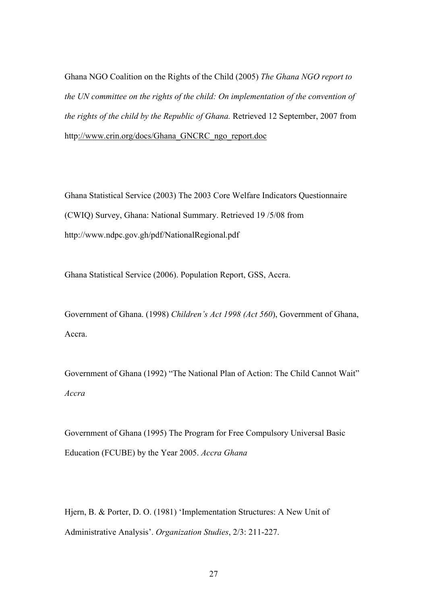Ghana NGO Coalition on the Rights of the Child (2005) *The Ghana NGO report to the UN committee on the rights of the child: On implementation of the convention of the rights of the child by the Republic of Ghana.* Retrieved 12 September, 2007 from http://www.crin.org/docs/Ghana\_GNCRC\_ngo\_report.doc

Ghana Statistical Service (2003) The 2003 Core Welfare Indicators Questionnaire (CWIQ) Survey, Ghana: National Summary. Retrieved 19 /5/08 from http://www.ndpc.gov.gh/pdf/NationalRegional.pdf

Ghana Statistical Service (2006). Population Report, GSS, Accra.

Government of Ghana. (1998) *Children's Act 1998 (Act 560*), Government of Ghana, Accra.

Government of Ghana (1992) "The National Plan of Action: The Child Cannot Wait" *Accra* 

Government of Ghana (1995) The Program for Free Compulsory Universal Basic Education (FCUBE) by the Year 2005. *Accra Ghana*

Hjern, B. & Porter, D. O. (1981) 'Implementation Structures: A New Unit of Administrative Analysis'. *Organization Studies*, 2/3: 211-227.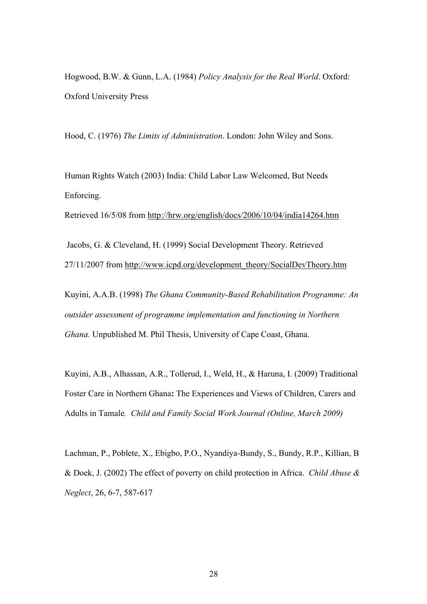Hogwood, B.W. & Gunn, L.A. (1984) *Policy Analysis for the Real World*. Oxford: Oxford University Press

Hood, C. (1976) *The Limits of Administration*. London: John Wiley and Sons.

Human Rights Watch (2003) India: Child Labor Law Welcomed, But Needs Enforcing.

Retrieved 16/5/08 from http://hrw.org/english/docs/2006/10/04/india14264.htm

 Jacobs, G. & Cleveland, H. (1999) Social Development Theory. Retrieved 27/11/2007 from http://www.icpd.org/development\_theory/SocialDevTheory.htm

Kuyini, A.A.B. (1998) *The Ghana Community-Based Rehabilitation Programme: An outsider assessment of programme implementation and functioning in Northern Ghana.* Unpublished M. Phil Thesis, University of Cape Coast, Ghana.

Kuyini, A.B., Alhassan, A.R., Tollerud, I., Weld, H., & Haruna, I. (2009) Traditional Foster Care in Northern Ghana**:** The Experiences and Views of Children, Carers and Adults in Tamale*. Child and Family Social Work Journal (Online, March 2009)*

Lachman, P., Poblete, X., Ebigbo, P.O., Nyandiya-Bundy, S., Bundy, R.P., Killian, B & Doek, J. (2002) The effect of poverty on child protection in Africa. *Child Abuse & Neglect*, 26, 6-7, 587-617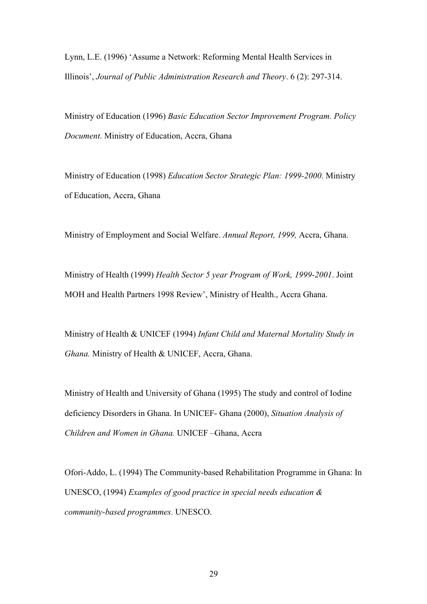Lynn, L.E. (1996) 'Assume a Network: Reforming Mental Health Services in Illinois', *Journal of Public Administration Research and Theory*. 6 (2): 297-314.

Ministry of Education (1996) *Basic Education Sector Improvement Program. Policy Document*. Ministry of Education, Accra, Ghana

Ministry of Education (1998) *Education Sector Strategic Plan: 1999-2000*. Ministry of Education, Accra, Ghana

Ministry of Employment and Social Welfare. *Annual Report, 1999,* Accra, Ghana.

Ministry of Health (1999) *Health Sector 5 year Program of Work, 1999-2001*. Joint MOH and Health Partners 1998 Review', Ministry of Health., Accra Ghana.

Ministry of Health & UNICEF (1994) *Infant Child and Maternal Mortality Study in Ghana.* Ministry of Health & UNICEF, Accra, Ghana.

Ministry of Health and University of Ghana (1995) The study and control of Iodine deficiency Disorders in Ghana. In UNICEF- Ghana (2000), *Situation Analysis of Children and Women in Ghana.* UNICEF –Ghana, Accra

Ofori-Addo, L. (1994) The Community-based Rehabilitation Programme in Ghana: In UNESCO, (1994) *Examples of good practice in special needs education & community-based programmes.* UNESCO.